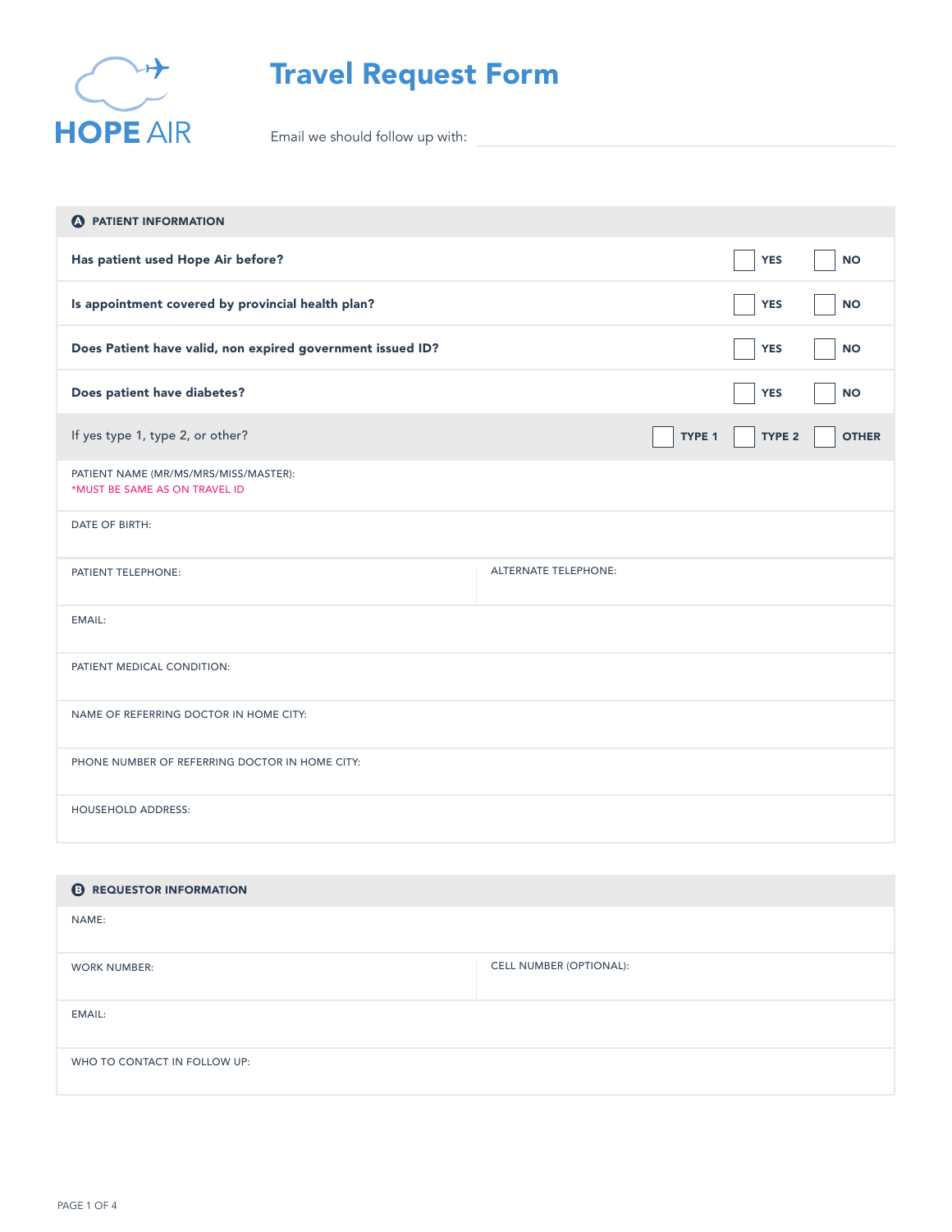

## Travel Request Form

Email we should follow up with:

| <b>A</b> PATIENT INFORMATION                                           |                             |        |                   |              |
|------------------------------------------------------------------------|-----------------------------|--------|-------------------|--------------|
| Has patient used Hope Air before?                                      |                             |        | <b>YES</b>        | <b>NO</b>    |
| Is appointment covered by provincial health plan?                      |                             |        | <b>YES</b>        | <b>NO</b>    |
| Does Patient have valid, non expired government issued ID?             |                             |        | <b>YES</b>        | <b>NO</b>    |
| Does patient have diabetes?                                            |                             |        | <b>YES</b>        | <b>NO</b>    |
| If yes type 1, type 2, or other?                                       |                             | TYPE 1 | TYPE <sub>2</sub> | <b>OTHER</b> |
| PATIENT NAME (MR/MS/MRS/MISS/MASTER):<br>*MUST BE SAME AS ON TRAVEL ID |                             |        |                   |              |
| DATE OF BIRTH:                                                         |                             |        |                   |              |
| PATIENT TELEPHONE:                                                     | <b>ALTERNATE TELEPHONE:</b> |        |                   |              |
| <b>EMAIL:</b>                                                          |                             |        |                   |              |
| PATIENT MEDICAL CONDITION:                                             |                             |        |                   |              |
| NAME OF REFERRING DOCTOR IN HOME CITY:                                 |                             |        |                   |              |
| PHONE NUMBER OF REFERRING DOCTOR IN HOME CITY:                         |                             |        |                   |              |
| <b>HOUSEHOLD ADDRESS:</b>                                              |                             |        |                   |              |

| <b>B</b> REQUESTOR INFORMATION |                                |
|--------------------------------|--------------------------------|
| NAME:                          |                                |
| <b>WORK NUMBER:</b>            | <b>CELL NUMBER (OPTIONAL):</b> |
| EMAIL:                         |                                |
| WHO TO CONTACT IN FOLLOW UP:   |                                |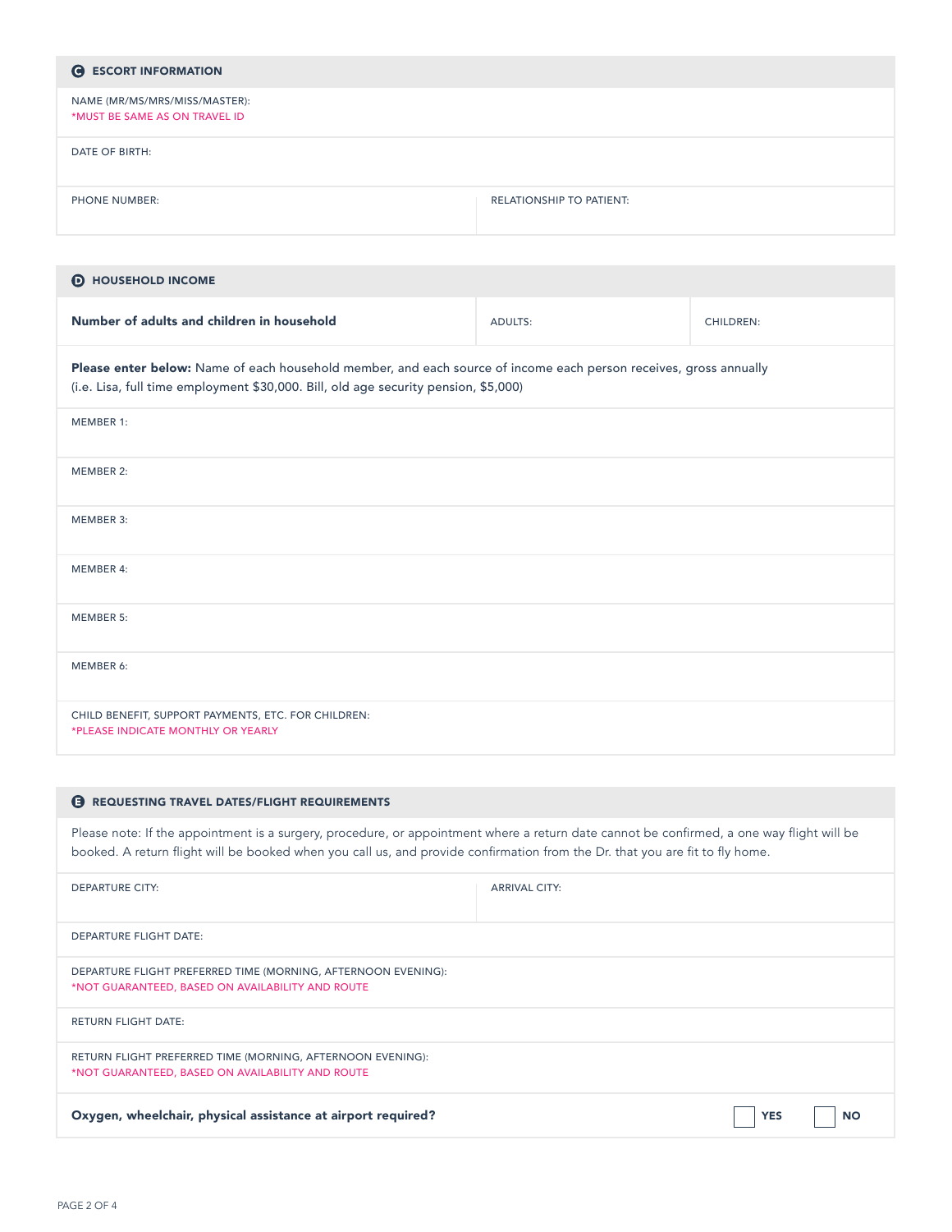| <b>G</b> ESCORT INFORMATION                                    |                                 |
|----------------------------------------------------------------|---------------------------------|
| NAME (MR/MS/MRS/MISS/MASTER):<br>*MUST BE SAME AS ON TRAVEL ID |                                 |
| DATE OF BIRTH:                                                 |                                 |
| <b>PHONE NUMBER:</b>                                           | <b>RELATIONSHIP TO PATIENT:</b> |

| <b>D</b> HOUSEHOLD INCOME                                                                                                                                                                                |         |                  |  |
|----------------------------------------------------------------------------------------------------------------------------------------------------------------------------------------------------------|---------|------------------|--|
| Number of adults and children in household                                                                                                                                                               | ADULTS: | <b>CHILDREN:</b> |  |
| Please enter below: Name of each household member, and each source of income each person receives, gross annually<br>(i.e. Lisa, full time employment \$30,000. Bill, old age security pension, \$5,000) |         |                  |  |
| MEMBER 1:                                                                                                                                                                                                |         |                  |  |
| MEMBER 2:                                                                                                                                                                                                |         |                  |  |
| MEMBER 3:                                                                                                                                                                                                |         |                  |  |
| <b>MEMBER 4:</b>                                                                                                                                                                                         |         |                  |  |
| <b>MEMBER 5:</b>                                                                                                                                                                                         |         |                  |  |
| MEMBER 6:                                                                                                                                                                                                |         |                  |  |
| CHILD BENEFIT, SUPPORT PAYMENTS, ETC. FOR CHILDREN:<br>*PLEASE INDICATE MONTHLY OR YEARLY                                                                                                                |         |                  |  |

## **B** REQUESTING TRAVEL DATES/FLIGHT REQUIREMENTS

Please note: If the appointment is a surgery, procedure, or appointment where a return date cannot be confirmed, a one way flight will be booked. A return flight will be booked when you call us, and provide confirmation from the Dr. that you are fit to fly home.

| <b>DEPARTURE CITY:</b>                                                                                            | <b>ARRIVAL CITY:</b> |            |           |
|-------------------------------------------------------------------------------------------------------------------|----------------------|------------|-----------|
| <b>DEPARTURE FLIGHT DATE:</b>                                                                                     |                      |            |           |
| DEPARTURE FLIGHT PREFERRED TIME (MORNING, AFTERNOON EVENING):<br>*NOT GUARANTEED, BASED ON AVAILABILITY AND ROUTE |                      |            |           |
| <b>RETURN FLIGHT DATE:</b>                                                                                        |                      |            |           |
| RETURN FLIGHT PREFERRED TIME (MORNING, AFTERNOON EVENING):<br>*NOT GUARANTEED, BASED ON AVAILABILITY AND ROUTE    |                      |            |           |
| Oxygen, wheelchair, physical assistance at airport required?                                                      |                      | <b>YES</b> | <b>NO</b> |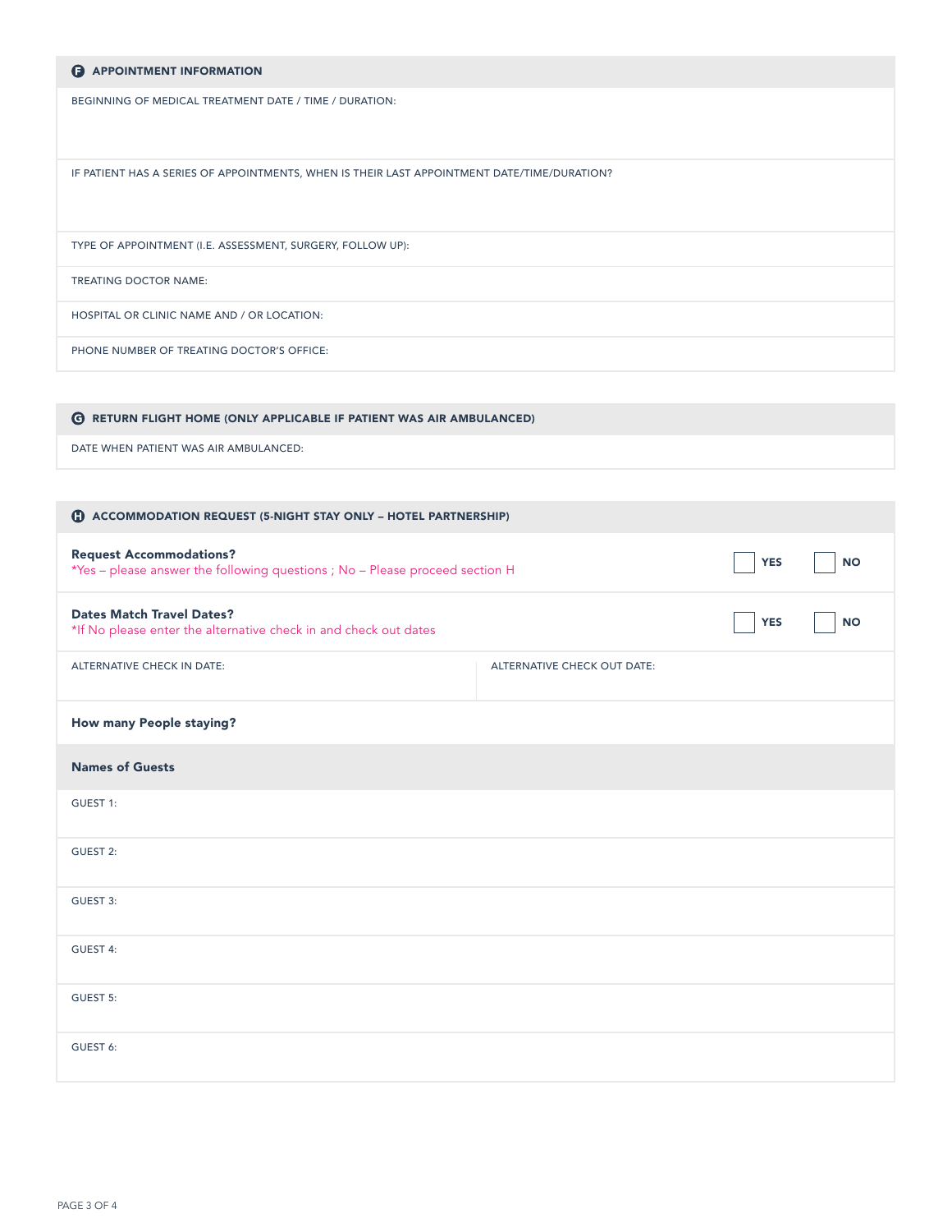| <b>B</b> APPOINTMENT INFORMATION                                                            |
|---------------------------------------------------------------------------------------------|
| BEGINNING OF MEDICAL TREATMENT DATE / TIME / DURATION:                                      |
| IF PATIENT HAS A SERIES OF APPOINTMENTS, WHEN IS THEIR LAST APPOINTMENT DATE/TIME/DURATION? |
| TYPE OF APPOINTMENT (I.E. ASSESSMENT, SURGERY, FOLLOW UP):                                  |
| <b>TREATING DOCTOR NAME:</b>                                                                |
| HOSPITAL OR CLINIC NAME AND / OR LOCATION:                                                  |
| PHONE NUMBER OF TREATING DOCTOR'S OFFICE:                                                   |

| <b>G RETURN FLIGHT HOME (ONLY APPLICABLE IF PATIENT WAS AIR AMBULANCED)</b> |
|-----------------------------------------------------------------------------|
| DATE WHEN PATIENT WAS AIR AMBULANCED:                                       |

| <b>C</b> ACCOMMODATION REQUEST (5-NIGHT STAY ONLY - HOTEL PARTNERSHIP)                                         |                             |            |           |
|----------------------------------------------------------------------------------------------------------------|-----------------------------|------------|-----------|
| <b>Request Accommodations?</b><br>*Yes - please answer the following questions ; No - Please proceed section H |                             | <b>YES</b> | <b>NO</b> |
| <b>Dates Match Travel Dates?</b><br>*If No please enter the alternative check in and check out dates           |                             | <b>YES</b> | <b>NO</b> |
| ALTERNATIVE CHECK IN DATE:                                                                                     | ALTERNATIVE CHECK OUT DATE: |            |           |
| How many People staying?                                                                                       |                             |            |           |
| <b>Names of Guests</b>                                                                                         |                             |            |           |
| GUEST 1:                                                                                                       |                             |            |           |
| <b>GUEST 2:</b>                                                                                                |                             |            |           |
| GUEST 3:                                                                                                       |                             |            |           |
| GUEST 4:                                                                                                       |                             |            |           |
| <b>GUEST 5:</b>                                                                                                |                             |            |           |
| GUEST 6:                                                                                                       |                             |            |           |
|                                                                                                                |                             |            |           |